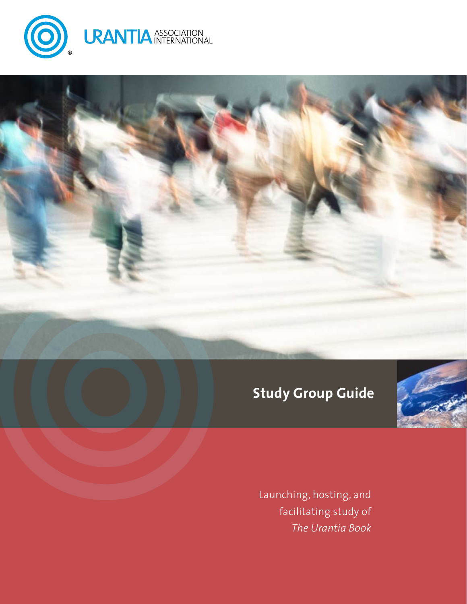





Launching, hosting, and facilitating study of *The Urantia Book*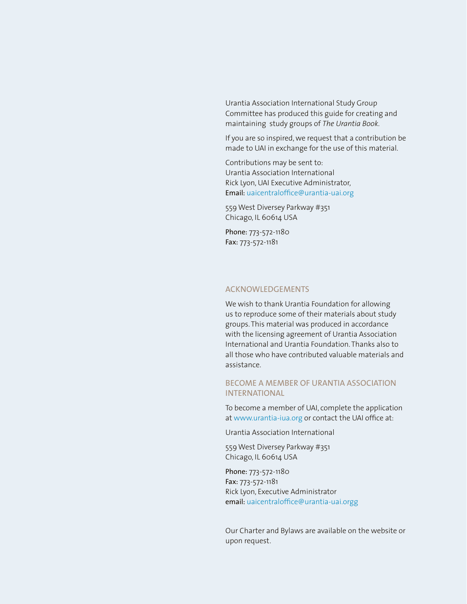Urantia Association International Study Group Committee has produced this guide for creating and maintaining study groups of *The Urantia Book*.

If you are so inspired, we request that a contribution be made to UAI in exchange for the use of this material.

Contributions may be sent to: Urantia Association International Rick Lyon, UAI Executive Administrator, Email: [uaicentraloffice@urantia-uai.org](mailto:uaicentraloffice@urantia-uai.org)

559 West Diversey Parkway #351 Chicago, IL 60614 USA

Phone: 773-572-1180 Fax: 773-572-1181

#### ACKNOWLEDGEMENTS

We wish to thank Urantia Foundation for allowing us to reproduce some of their materials about study groups. This material was produced in accordance with the licensing agreement of Urantia Association International and Urantia Foundation. Thanks also to all those who have contributed valuable materials and assistance.

#### BECOME A MEMBER OF URANTIA ASSOCIATION INTERNATIONAL

To become a member of UAI, complete the application at [www.urantia-iua.org](http://www.urantia-iua.org) or contact the UAI office at:

Urantia Association International

559 West Diversey Parkway #351 Chicago, IL 60614 USA

Phone: 773-572-1180 Fax: 773-572-1181 Rick Lyon, Executive Administrator email: [uaicentraloffice@urantia-uai.org](mailto:uaicentraloffice@urantia-uai.org)g

Our Charter and Bylaws are available on the website or upon request.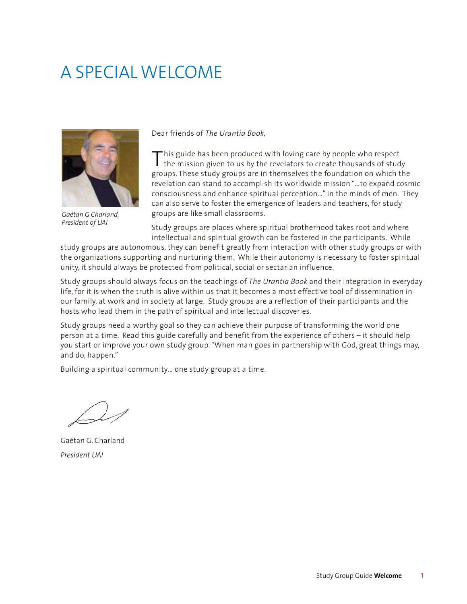# A SPECIAL WELCOME



*Gaétan G Charland, President of UAI*

Dear friends of *The Urantia Book,*

This guide has been produced with loving care by people who respect<br>the mission given to us by the revelators to create thousands of study groups. These study groups are in themselves the foundation on which the revelation can stand to accomplish its worldwide mission "…to expand cosmic consciousness and enhance spiritual perception…" in the minds of men. They can also serve to foster the emergence of leaders and teachers, for study groups are like small classrooms.

Study groups are places where spiritual brotherhood takes root and where intellectual and spiritual growth can be fostered in the participants. While

study groups are autonomous, they can benefit greatly from interaction with other study groups or with the organizations supporting and nurturing them. While their autonomy is necessary to foster spiritual unity, it should always be protected from political, social or sectarian influence.

Study groups should always focus on the teachings of *The Urantia Book* and their integration in everyday life, for it is when the truth is alive within us that it becomes a most effective tool of dissemination in our family, at work and in society at large. Study groups are a reflection of their participants and the hosts who lead them in the path of spiritual and intellectual discoveries.

Study groups need a worthy goal so they can achieve their purpose of transforming the world one person at a time. Read this guide carefully and benefit from the experience of others – it should help you start or improve your own study group. "When man goes in partnership with God, great things may, and do, happen."

Building a spiritual community… one study group at a time.

Gaétan G. Charland *President UAI*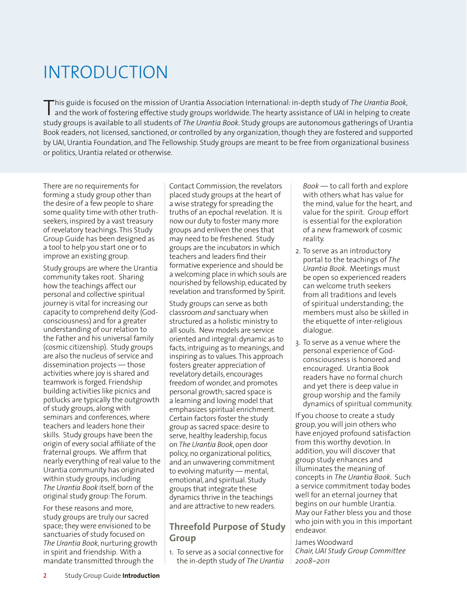# INTRODUCTION

This guide is focused on the mission of Urantia Association International: in-depth study of The Urantia Book,<br>and the work of fostering effective study groups worldwide. The hearty assistance of UAI in helping to create study groups is available to all students of *The Urantia Book*. Study groups are autonomous gatherings of Urantia Book readers, not licensed, sanctioned, or controlled by any organization, though they are fostered and supported by UAI, Urantia Foundation, and The Fellowship. Study groups are meant to be free from organizational business or politics, Urantia related or otherwise.

There are no requirements for forming a study group other than the desire of a few people to share some quality time with other truthseekers, inspired by a vast treasury of revelatory teachings. This Study Group Guide has been designed as a tool to help you start one or to improve an existing group.

Study groups are where the Urantia community takes root. Sharing how the teachings affect our personal and collective spiritual journey is vital for increasing our capacity to comprehend deity (Godconsciousness) and for a greater understanding of our relation to the Father and his universal family (cosmic citizenship). Study groups are also the nucleus of service and dissemination projects — those activities where joy is shared and teamwork is forged. Friendship building activities like picnics and potlucks are typically the outgrowth of study groups, along with seminars and conferences, where teachers and leaders hone their skills. Study groups have been the origin of every social affiliate of the fraternal groups. We affirm that nearly everything of real value to the Urantia community has originated within study groups, including *The Urantia Book* itself, born of the original study group: The Forum.

For these reasons and more, study groups are truly our sacred space; they were envisioned to be sanctuaries of study focused on *The Urantia Book*, nurturing growth in spirit and friendship. With a mandate transmitted through the

Contact Commission, the revelators placed study groups at the heart of a wise strategy for spreading the truths of an epochal revelation. It is now our duty to foster many more groups and enliven the ones that may need to be freshened. Study groups are the incubators in which teachers and leaders find their formative experience and should be a welcoming place in which souls are nourished by fellowship, educated by revelation and transformed by Spirit.

Study groups can serve as both classroom *and* sanctuary when structured as a holistic ministry to all souls. New models are service oriented and integral: dynamic as to facts, intriguing as to meanings, and inspiring as to values. This approach fosters greater appreciation of revelatory details, encourages freedom of wonder, and promotes personal growth; sacred space is a learning and loving model that emphasizes spiritual enrichment. Certain factors foster the study group as sacred space: desire to serve, healthy leadership, focus on *The Urantia Book*, open door policy, no organizational politics, and an unwavering commitment to evolving maturity — mental, emotional, and spiritual. Study groups that integrate these dynamics thrive in the teachings and are attractive to new readers.

# **Threefold Purpose of Study Group**

1. To serve as a social connective for the in-depth study of *The Urantia*  *Book* — to call forth and explore with others what has value for the mind, value for the heart, and value for the spirit. Group effort is essential for the exploration of a new framework of cosmic reality.

- 2. To serve as an introductory portal to the teachings of *The Urantia Book*. Meetings must be open so experienced readers can welcome truth seekers from all traditions and levels of spiritual understanding; the members must also be skilled in the etiquette of inter-religious dialogue.
- 3. To serve as a venue where the personal experience of Godconsciousness is honored and encouraged. Urantia Book readers have no formal church and yet there is deep value in group worship and the family dynamics of spiritual community.

If you choose to create a study group, you will join others who have enjoyed profound satisfaction from this worthy devotion. In addition, you will discover that group study enhances and illuminates the meaning of concepts in *The Urantia Book*. Such a service commitment today bodes well for an eternal journey that begins on our humble Urantia. May our Father bless you and those who join with you in this important endeavor.

James Woodward *Chair, UAI Study Group Committee 2008–2011*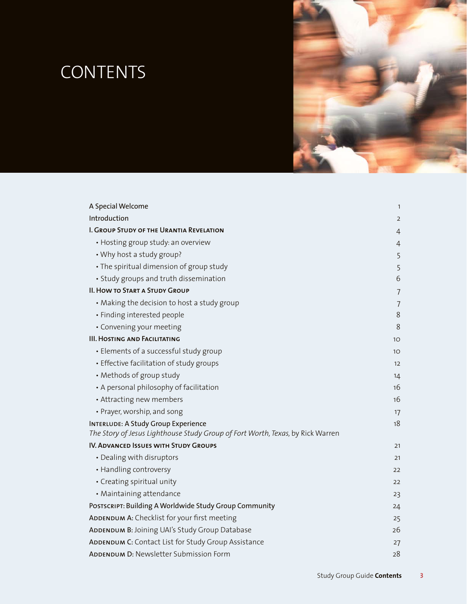# CONTENTS



| A Special Welcome                                                                                                            | $\mathbf{1}$    |
|------------------------------------------------------------------------------------------------------------------------------|-----------------|
| Introduction                                                                                                                 | 2               |
| I. GROUP STUDY OF THE URANTIA REVELATION                                                                                     | 4               |
| • Hosting group study: an overview                                                                                           | 4               |
| • Why host a study group?                                                                                                    | 5               |
| • The spiritual dimension of group study                                                                                     | 5               |
| • Study groups and truth dissemination                                                                                       | 6               |
| <b>II. HOW TO START A STUDY GROUP</b>                                                                                        | 7               |
| • Making the decision to host a study group                                                                                  | $\overline{7}$  |
| · Finding interested people                                                                                                  | 8               |
| • Convening your meeting                                                                                                     | 8               |
| <b>III. HOSTING AND FACILITATING</b>                                                                                         | 10 <sup>°</sup> |
| • Elements of a successful study group                                                                                       | 10 <sup>°</sup> |
| • Effective facilitation of study groups                                                                                     | 12              |
| • Methods of group study                                                                                                     | 14              |
| • A personal philosophy of facilitation                                                                                      | 16              |
| • Attracting new members                                                                                                     | 16              |
| • Prayer, worship, and song                                                                                                  | 17              |
| <b>INTERLUDE: A Study Group Experience</b><br>The Story of Jesus Lighthouse Study Group of Fort Worth, Texas, by Rick Warren | 18              |
| IV. ADVANCED ISSUES WITH STUDY GROUPS                                                                                        | 21              |
| • Dealing with disruptors                                                                                                    | 21              |
| • Handling controversy                                                                                                       | 22              |
| • Creating spiritual unity                                                                                                   | 22              |
| • Maintaining attendance                                                                                                     | 23              |
| POSTSCRIPT: Building A Worldwide Study Group Community                                                                       | 24              |
| ADDENDUM A: Checklist for your first meeting                                                                                 | 25              |
| ADDENDUM B: Joining UAI's Study Group Database                                                                               | 26              |
| ADDENDUM C: Contact List for Study Group Assistance                                                                          | 27              |
| ADDENDUM D: Newsletter Submission Form                                                                                       | 28              |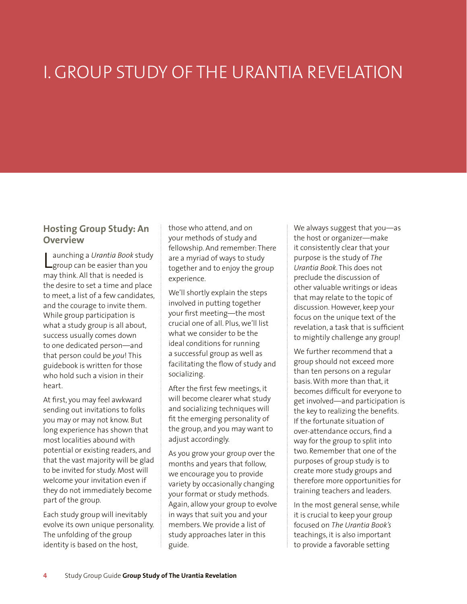# I. GROUP STUDY OF THE URANTIA REVELATION

## **Hosting Group Study: An Overview**

Launching a *Urantia Book* stud<br>
group can be easier than you aunching a *Urantia Book* study may think. All that is needed is the desire to set a time and place to meet, a list of a few candidates, and the courage to invite them. While group participation is what a study group is all about, success usually comes down to one dedicated person—and that person could be *you*! This guidebook is written for those who hold such a vision in their heart.

At first, you may feel awkward sending out invitations to folks you may or may not know. But long experience has shown that most localities abound with potential or existing readers, and that the vast majority will be glad to be invited for study. Most will welcome your invitation even if they do not immediately become part of the group.

Each study group will inevitably evolve its own unique personality. The unfolding of the group identity is based on the host,

those who attend, and on your methods of study and fellowship. And remember: There are a myriad of ways to study together and to enjoy the group experience.

We'll shortly explain the steps involved in putting together your first meeting—the most crucial one of all. Plus, we'll list what we consider to be the ideal conditions for running a successful group as well as facilitating the flow of study and socializing.

After the first few meetings, it will become clearer what study and socializing techniques will fit the emerging personality of the group, and you may want to adjust accordingly.

As you grow your group over the months and years that follow, we encourage you to provide variety by occasionally changing your format or study methods. Again, allow your group to evolve in ways that suit you and your members. We provide a list of study approaches later in this guide.

We always suggest that you—as the host or organizer—make it consistently clear that your purpose is the study of *The Urantia Book*. This does not preclude the discussion of other valuable writings or ideas that may relate to the topic of discussion. However, keep your focus on the unique text of the revelation, a task that is sufficient to mightily challenge any group!

We further recommend that a group should not exceed more than ten persons on a regular basis. With more than that, it becomes difficult for everyone to get involved—and participation is the key to realizing the benefits. If the fortunate situation of over-attendance occurs, find a way for the group to split into two. Remember that one of the purposes of group study is to create more study groups and therefore more opportunities for training teachers and leaders.

In the most general sense, while it is crucial to keep your group focused on *The Urantia Book's* teachings, it is also important to provide a favorable setting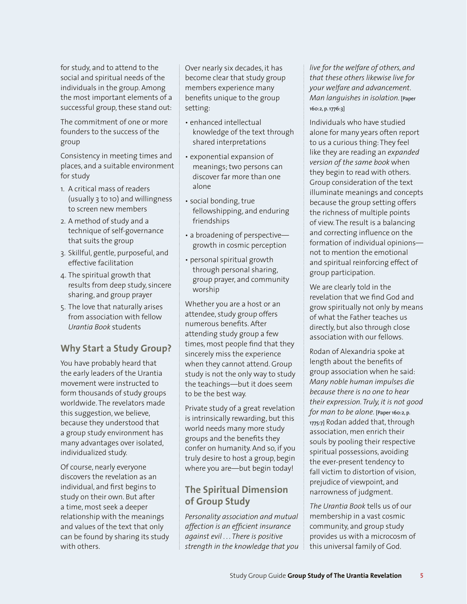for study, and to attend to the social and spiritual needs of the individuals in the group. Among the most important elements of a successful group, these stand out:

The commitment of one or more founders to the success of the group

Consistency in meeting times and places, and a suitable environment for study

- 1. A critical mass of readers (usually 3 to 10) and willingness to screen new members
- 2. A method of study and a technique of self-governance that suits the group
- 3. Skillful, gentle, purposeful, and effective facilitation
- 4. The spiritual growth that results from deep study, sincere sharing, and group prayer
- 5. The love that naturally arises from association with fellow *Urantia Book* students

# **Why Start a Study Group?**

You have probably heard that the early leaders of the Urantia movement were instructed to form thousands of study groups worldwide. The revelators made this suggestion, we believe, because they understood that a group study environment has many advantages over isolated, individualized study.

Of course, nearly everyone discovers the revelation as an individual, and first begins to study on their own. But after a time, most seek a deeper relationship with the meanings and values of the text that only can be found by sharing its study with others.

Over nearly six decades, it has become clear that study group members experience many benefits unique to the group setting:

- enhanced intellectual knowledge of the text through shared interpretations
- exponential expansion of meanings; two persons can discover far more than one alone
- social bonding, true fellowshipping, and enduring friendships
- a broadening of perspective growth in cosmic perception
- personal spiritual growth through personal sharing, group prayer, and community worship

Whether you are a host or an attendee, study group offers numerous benefits. After attending study group a few times, most people find that they sincerely miss the experience when they cannot attend. Group study is not the only way to study the teachings—but it does seem to be the best way.

Private study of a great revelation is intrinsically rewarding, but this world needs many more study groups and the benefits they confer on humanity. And so, if you truly desire to host a group, begin where you are—but begin today!

# **The Spiritual Dimension of Group Study**

*Personality association and mutual affection is an efficient insurance against evil . . . There is positive strength in the knowledge that you*  *live for the welfare of others, and that these others likewise live for your welfare and advancement. Man languishes in isolation.* [Paper 160:2, p. 1776:3]

Individuals who have studied alone for many years often report to us a curious thing: They feel like they are reading an *expanded version of the same book* when they begin to read with others. Group consideration of the text illuminate meanings and concepts because the group setting offers the richness of multiple points of view. The result is a balancing and correcting influence on the formation of individual opinions not to mention the emotional and spiritual reinforcing effect of group participation.

We are clearly told in the revelation that we find God and grow spiritually not only by means of what the Father teaches us directly, but also through close association with our fellows.

Rodan of Alexandria spoke at length about the benefits of group association when he said: *Many noble human impulses die because there is no one to hear their expression. Truly, it is not good for man to be alone.* [Paper 160:2, p. 1775:7] Rodan added that, through association, men enrich their souls by pooling their respective spiritual possessions, avoiding the ever-present tendency to fall victim to distortion of vision, prejudice of viewpoint, and narrowness of judgment.

*The Urantia Book* tells us of our membership in a vast cosmic community, and group study provides us with a microcosm of this universal family of God.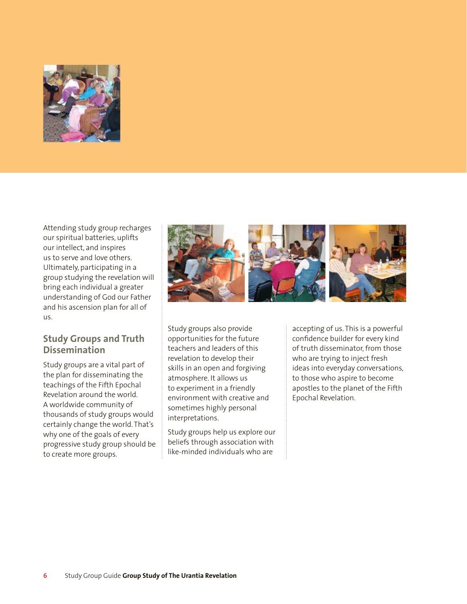

Attending study group recharges our spiritual batteries, uplifts our intellect, and inspires us to serve and love others. Ultimately, participating in a group studying the revelation will bring each individual a greater understanding of God our Father and his ascension plan for all of us.

## **Study Groups and Truth Dissemination**

Study groups are a vital part of the plan for disseminating the teachings of the Fifth Epochal Revelation around the world. A worldwide community of thousands of study groups would certainly change the world. That's why one of the goals of every progressive study group should be to create more groups.



Study groups also provide opportunities for the future teachers and leaders of this revelation to develop their skills in an open and forgiving atmosphere. It allows us to experiment in a friendly environment with creative and sometimes highly personal interpretations.

Study groups help us explore our beliefs through association with like-minded individuals who are

accepting of us. This is a powerful confidence builder for every kind of truth disseminator, from those who are trying to inject fresh ideas into everyday conversations, to those who aspire to become apostles to the planet of the Fifth Epochal Revelation.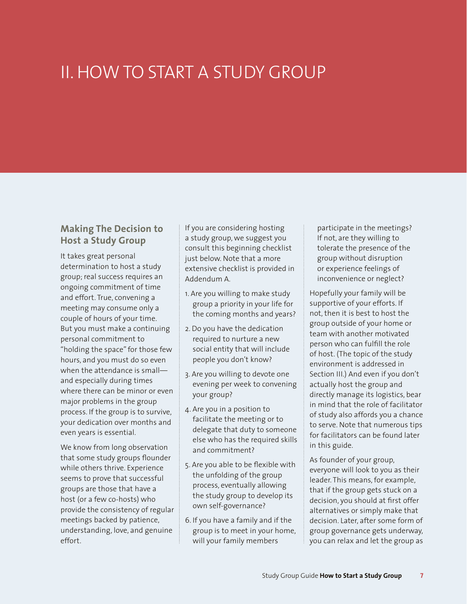# II. HOW TO START A STUDY GROUP

## **Making The Decision to Host a Study Group**

It takes great personal determination to host a study group; real success requires an ongoing commitment of time and effort. True, convening a meeting may consume only a couple of hours of your time. But you must make a continuing personal commitment to "holding the space" for those few hours, and you must do so even when the attendance is small and especially during times where there can be minor or even major problems in the group process. If the group is to survive, your dedication over months and even years is essential.

We know from long observation that some study groups flounder while others thrive. Experience seems to prove that successful groups are those that have a host (or a few co-hosts) who provide the consistency of regular meetings backed by patience, understanding, love, and genuine effort.

If you are considering hosting a study group, we suggest you consult this beginning checklist just below. Note that a more extensive checklist is provided in Addendum A.

- 1. Are you willing to make study group a priority in your life for the coming months and years?
- 2. Do you have the dedication required to nurture a new social entity that will include people you don't know?
- 3. Are you willing to devote one evening per week to convening your group?
- 4. Are you in a position to facilitate the meeting or to delegate that duty to someone else who has the required skills and commitment?
- 5. Are you able to be flexible with the unfolding of the group process, eventually allowing the study group to develop its own self-governance?
- 6. If you have a family and if the group is to meet in your home, will your family members

participate in the meetings? If not, are they willing to tolerate the presence of the group without disruption or experience feelings of inconvenience or neglect?

Hopefully your family will be supportive of your efforts. If not, then it is best to host the group outside of your home or team with another motivated person who can fulfill the role of host. (The topic of the study environment is addressed in Section III.) And even if you don't actually host the group and directly manage its logistics, bear in mind that the role of facilitator of study also affords you a chance to serve. Note that numerous tips for facilitators can be found later in this guide.

As founder of your group, everyone will look to you as their leader. This means, for example, that if the group gets stuck on a decision, you should at first offer alternatives or simply make that decision. Later, after some form of group governance gets underway, you can relax and let the group as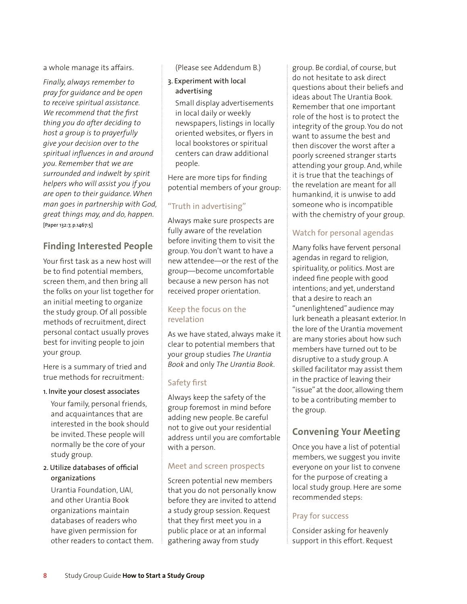a whole manage its affairs.

*Finally, always remember to pray for guidance and be open to receive spiritual assistance. We recommend that the first thing you do after deciding to host a group is to prayerfully give your decision over to the spiritual influences in and around you. Remember that we are surrounded and indwelt by spirit helpers who will assist you if you are open to their guidance. When man goes in partnership with God, great things may, and do, happen.*  [Paper 132:7, p.1467:5]

# **Finding Interested People**

Your first task as a new host will be to find potential members, screen them, and then bring all the folks on your list together for an initial meeting to organize the study group. Of all possible methods of recruitment, direct personal contact usually proves best for inviting people to join your group.

Here is a summary of tried and true methods for recruitment:

#### 1. Invite your closest associates

Your family, personal friends, and acquaintances that are interested in the book should be invited. These people will normally be the core of your study group.

#### 2. Utilize databases of official organizations

Urantia Foundation, UAI, and other Urantia Book organizations maintain databases of readers who have given permission for other readers to contact them. (Please see Addendum B.)

#### 3. Experiment with local advertising

Small display advertisements in local daily or weekly newspapers, listings in locally oriented websites, or flyers in local bookstores or spiritual centers can draw additional people.

Here are more tips for finding potential members of your group:

## "Truth in advertising"

Always make sure prospects are fully aware of the revelation before inviting them to visit the group. You don't want to have a new attendee—or the rest of the group—become uncomfortable because a new person has not received proper orientation.

## Keep the focus on the revelation

As we have stated, always make it clear to potential members that your group studies *The Urantia Book* and only *The Urantia Book*.

## Safety first

Always keep the safety of the group foremost in mind before adding new people. Be careful not to give out your residential address until you are comfortable with a person.

## Meet and screen prospects

Screen potential new members that you do not personally know before they are invited to attend a study group session. Request that they first meet you in a public place or at an informal gathering away from study

group. Be cordial, of course, but do not hesitate to ask direct questions about their beliefs and ideas about The Urantia Book. Remember that one important role of the host is to protect the integrity of the group. You do not want to assume the best and then discover the worst after a poorly screened stranger starts attending your group. And, while it is true that the teachings of the revelation are meant for all humankind, it is unwise to add someone who is incompatible with the chemistry of your group.

## Watch for personal agendas

Many folks have fervent personal agendas in regard to religion, spirituality, or politics. Most are indeed fine people with good intentions; and yet, understand that a desire to reach an "unenlightened" audience may lurk beneath a pleasant exterior. In the lore of the Urantia movement are many stories about how such members have turned out to be disruptive to a study group. A skilled facilitator may assist them in the practice of leaving their "issue" at the door, allowing them to be a contributing member to the group.

# **Convening Your Meeting**

Once you have a list of potential members, we suggest you invite everyone on your list to convene for the purpose of creating a local study group. Here are some recommended steps:

### Pray for success

Consider asking for heavenly support in this effort. Request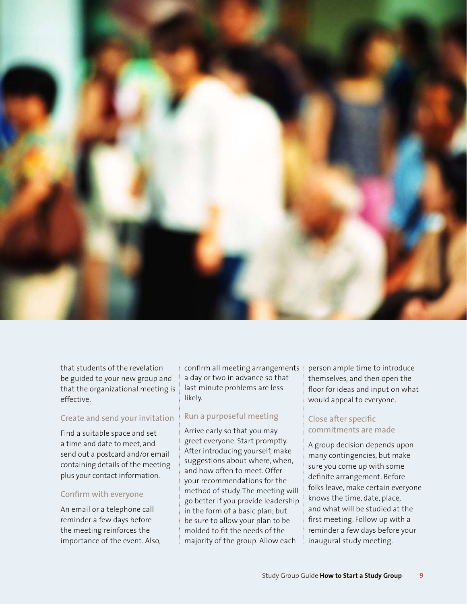

that students of the revelation be guided to your new group and that the organizational meeting is effective.

### Create and send your invitation

Find a suitable space and set a time and date to meet, and send out a postcard and/or email containing details of the meeting plus your contact information.

#### Confirm with everyone

An email or a telephone call reminder a few days before the meeting reinforces the importance of the event. Also, confirm all meeting arrangements a day or two in advance so that last minute problems are less likely.

### Run a purposeful meeting

Arrive early so that you may greet everyone. Start promptly. After introducing yourself, make suggestions about where, when, and how often to meet. Offer your recommendations for the method of study. The meeting will go better if you provide leadership in the form of a basic plan; but be sure to allow your plan to be molded to fit the needs of the majority of the group. Allow each

person ample time to introduce themselves, and then open the floor for ideas and input on what would appeal to everyone.

## Close after specific commitments are made

A group decision depends upon many contingencies, but make sure you come up with some definite arrangement. Before folks leave, make certain everyone knows the time, date, place, and what will be studied at the first meeting. Follow up with a reminder a few days before your inaugural study meeting.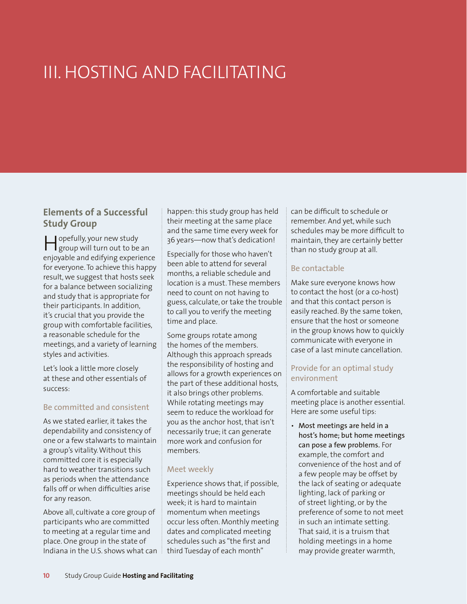# III. HOSTING AND FACILITATING

## **Elements of a Successful Study Group**

Hopefully, your new study group will turn out to be an enjoyable and edifying experience for everyone. To achieve this happy result, we suggest that hosts seek for a balance between socializing and study that is appropriate for their participants. In addition, it's crucial that you provide the group with comfortable facilities, a reasonable schedule for the meetings, and a variety of learning styles and activities.

Let's look a little more closely at these and other essentials of success:

### Be committed and consistent

As we stated earlier, it takes the dependability and consistency of one or a few stalwarts to maintain a group's vitality. Without this committed core it is especially hard to weather transitions such as periods when the attendance falls off or when difficulties arise for any reason.

Above all, cultivate a core group of participants who are committed to meeting at a regular time and place. One group in the state of Indiana in the U.S. shows what can

happen: this study group has held their meeting at the same place and the same time every week for 36 years—now that's dedication!

Especially for those who haven't been able to attend for several months, a reliable schedule and location is a must. These members need to count on not having to guess, calculate, or take the trouble to call you to verify the meeting time and place.

Some groups rotate among the homes of the members. Although this approach spreads the responsibility of hosting and allows for a growth experiences on the part of these additional hosts, it also brings other problems. While rotating meetings may seem to reduce the workload for you as the anchor host, that isn't necessarily true; it can generate more work and confusion for members.

#### Meet weekly

Experience shows that, if possible, meetings should be held each week; it is hard to maintain momentum when meetings occur less often. Monthly meeting dates and complicated meeting schedules such as "the first and third Tuesday of each month"

can be difficult to schedule or remember. And yet, while such schedules may be more difficult to maintain, they are certainly better than no study group at all.

## Be contactable

Make sure everyone knows how to contact the host (or a co-host) and that this contact person is easily reached. By the same token, ensure that the host or someone in the group knows how to quickly communicate with everyone in case of a last minute cancellation.

### Provide for an optimal study environment

A comfortable and suitable meeting place is another essential. Here are some useful tips:

*•* Most meetings are held in a host's home; but home meetings can pose a few problems. For example, the comfort and convenience of the host and of a few people may be offset by the lack of seating or adequate lighting, lack of parking or of street lighting, or by the preference of some to not meet in such an intimate setting. That said, it is a truism that holding meetings in a home may provide greater warmth,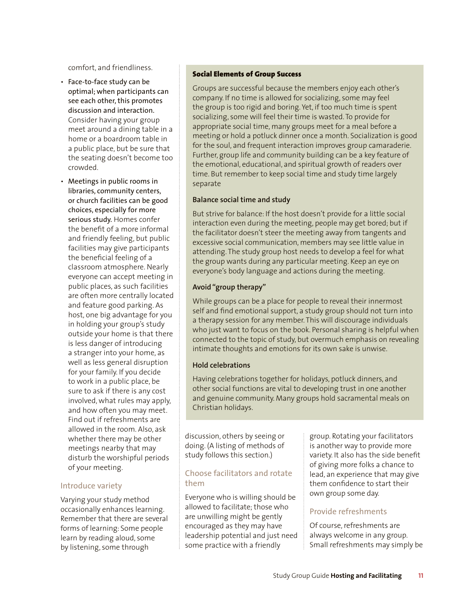comfort, and friendliness.

- Face-to-face study can be optimal; when participants can see each other, this promotes discussion and interaction. Consider having your group meet around a dining table in a home or a boardroom table in a public place, but be sure that the seating doesn't become too crowded.
- Meetings in public rooms in libraries, community centers, or church facilities can be good choices, especially for more serious study. Homes confer the benefit of a more informal and friendly feeling, but public facilities may give participants the beneficial feeling of a classroom atmosphere. Nearly everyone can accept meeting in public places, as such facilities are often more centrally located and feature good parking. As host, one big advantage for you in holding your group's study outside your home is that there is less danger of introducing a stranger into your home, as well as less general disruption for your family. If you decide to work in a public place, be sure to ask if there is any cost involved, what rules may apply, and how often you may meet. Find out if refreshments are allowed in the room. Also, ask whether there may be other meetings nearby that may disturb the worshipful periods of your meeting.

#### Introduce variety

Varying your study method occasionally enhances learning. Remember that there are several forms of learning: Some people learn by reading aloud, some by listening, some through

#### Social Elements of Group Success

Groups are successful because the members enjoy each other's company. If no time is allowed for socializing, some may feel the group is too rigid and boring. Yet, if too much time is spent socializing, some will feel their time is wasted. To provide for appropriate social time, many groups meet for a meal before a meeting or hold a potluck dinner once a month. Socialization is good for the soul, and frequent interaction improves group camaraderie. Further, group life and community building can be a key feature of the emotional, educational, and spiritual growth of readers over time. But remember to keep social time and study time largely separate

#### **Balance social time and study**

But strive for balance: If the host doesn't provide for a little social interaction even during the meeting, people may get bored; but if the facilitator doesn't steer the meeting away from tangents and excessive social communication, members may see little value in attending. The study group host needs to develop a feel for what the group wants during any particular meeting. Keep an eye on everyone's body language and actions during the meeting.

#### **Avoid "group therapy"**

While groups can be a place for people to reveal their innermost self and find emotional support, a study group should not turn into a therapy session for any member. This will discourage individuals who just want to focus on the book. Personal sharing is helpful when connected to the topic of study, but overmuch emphasis on revealing intimate thoughts and emotions for its own sake is unwise.

#### **Hold celebrations**

Having celebrations together for holidays, potluck dinners, and other social functions are vital to developing trust in one another and genuine community. Many groups hold sacramental meals on Christian holidays.

discussion, others by seeing or doing. (A listing of methods of study follows this section.)

### Choose facilitators and rotate them

Everyone who is willing should be allowed to facilitate; those who are unwilling might be gently encouraged as they may have leadership potential and just need some practice with a friendly

group. Rotating your facilitators is another way to provide more variety. It also has the side benefit of giving more folks a chance to lead, an experience that may give them confidence to start their own group some day.

### Provide refreshments

Of course, refreshments are always welcome in any group. Small refreshments may simply be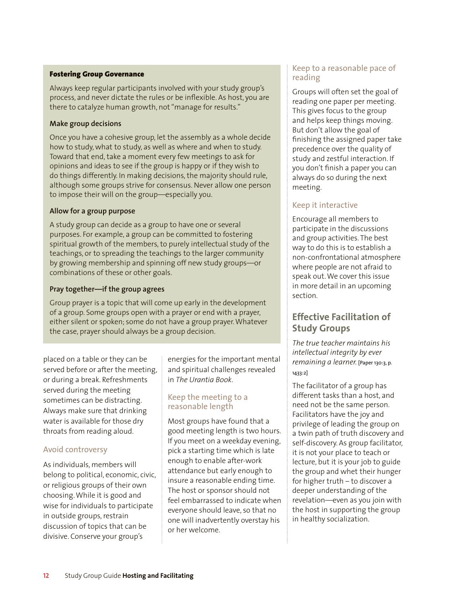#### Fostering Group Governance

Always keep regular participants involved with your study group's process, and never dictate the rules or be inflexible. As host, you are there to catalyze human growth, not "manage for results."

#### **Make group decisions**

Once you have a cohesive group, let the assembly as a whole decide how to study, what to study, as well as where and when to study. Toward that end, take a moment every few meetings to ask for opinions and ideas to see if the group is happy or if they wish to do things differently. In making decisions, the majority should rule, although some groups strive for consensus. Never allow one person to impose their will on the group—especially you.

#### **Allow for a group purpose**

A study group can decide as a group to have one or several purposes. For example, a group can be committed to fostering spiritual growth of the members, to purely intellectual study of the teachings, or to spreading the teachings to the larger community by growing membership and spinning off new study groups—or combinations of these or other goals.

#### **Pray together—if the group agrees**

Group prayer is a topic that will come up early in the development of a group. Some groups open with a prayer or end with a prayer, either silent or spoken; some do not have a group prayer. Whatever the case, prayer should always be a group decision.

placed on a table or they can be served before or after the meeting, or during a break. Refreshments served during the meeting sometimes can be distracting. Always make sure that drinking water is available for those dry throats from reading aloud.

## Avoid controversy

As individuals, members will belong to political, economic, civic, or religious groups of their own choosing. While it is good and wise for individuals to participate in outside groups, restrain discussion of topics that can be divisive. Conserve your group's

energies for the important mental and spiritual challenges revealed in *The Urantia Book*.

#### Keep the meeting to a reasonable length

Most groups have found that a good meeting length is two hours. If you meet on a weekday evening, pick a starting time which is late enough to enable after-work attendance but early enough to insure a reasonable ending time. The host or sponsor should not feel embarrassed to indicate when everyone should leave, so that no one will inadvertently overstay his or her welcome.

### Keep to a reasonable pace of reading

Groups will often set the goal of reading one paper per meeting. This gives focus to the group and helps keep things moving. But don't allow the goal of finishing the assigned paper take precedence over the quality of study and zestful interaction. If you don't finish a paper you can always do so during the next meeting.

## Keep it interactive

Encourage all members to participate in the discussions and group activities. The best way to do this is to establish a non-confrontational atmosphere where people are not afraid to speak out. We cover this issue in more detail in an upcoming section.

# **Effective Facilitation of Study Groups**

*The true teacher maintains his intellectual integrity by ever remaining a learner.* [Paper 130:3, p. 1433:2]

The facilitator of a group has different tasks than a host, and need not be the same person. Facilitators have the joy and privilege of leading the group on a twin path of truth discovery and self-discovery. As group facilitator, it is not your place to teach or lecture, but it is your job to guide the group and whet their hunger for higher truth – to discover a deeper understanding of the revelation—even as you join with the host in supporting the group in healthy socialization.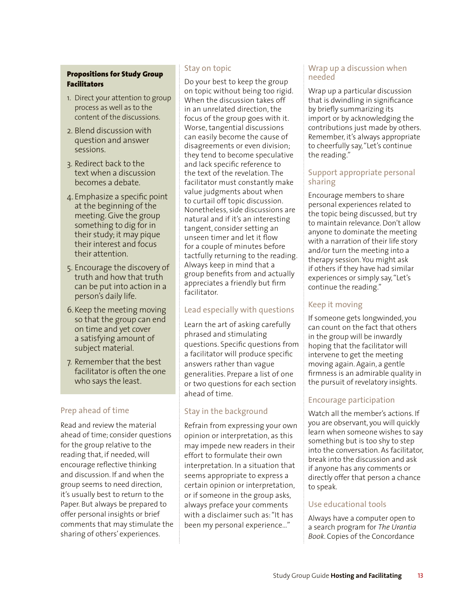## Propositions for Study Group Facilitators

- 1. Direct your attention to group process as well as to the content of the discussions.
- 2. Blend discussion with question and answer sessions.
- 3. Redirect back to the text when a discussion becomes a debate.
- 4. Emphasize a specific point at the beginning of the meeting. Give the group something to dig for in their study; it may pique their interest and focus their attention.
- 5. Encourage the discovery of truth and how that truth can be put into action in a person's daily life.
- 6.Keep the meeting moving so that the group can end on time and yet cover a satisfying amount of subject material.
- 7. Remember that the best facilitator is often the one who says the least.

## Prep ahead of time

Read and review the material ahead of time; consider questions for the group relative to the reading that, if needed, will encourage reflective thinking and discussion. If and when the group seems to need direction, it's usually best to return to the Paper. But always be prepared to offer personal insights or brief comments that may stimulate the sharing of others' experiences.

## Stay on topic

Do your best to keep the group on topic without being too rigid. When the discussion takes off in an unrelated direction, the focus of the group goes with it. Worse, tangential discussions can easily become the cause of disagreements or even division; they tend to become speculative and lack specific reference to the text of the revelation. The facilitator must constantly make value judgments about when to curtail off topic discussion. Nonetheless, side discussions are natural and if it's an interesting tangent, consider setting an unseen timer and let it flow for a couple of minutes before tactfully returning to the reading. Always keep in mind that a group benefits from and actually appreciates a friendly but firm facilitator.

## Lead especially with questions

Learn the art of asking carefully phrased and stimulating questions. Specific questions from a facilitator will produce specific answers rather than vague generalities. Prepare a list of one or two questions for each section ahead of time.

# Stay in the background

Refrain from expressing your own opinion or interpretation, as this may impede new readers in their effort to formulate their own interpretation. In a situation that seems appropriate to express a certain opinion or interpretation, or if someone in the group asks, always preface your comments with a disclaimer such as: "It has been my personal experience…"

### Wrap up a discussion when needed

Wrap up a particular discussion that is dwindling in significance by briefly summarizing its import or by acknowledging the contributions just made by others. Remember, it's always appropriate to cheerfully say, "Let's continue the reading."

### Support appropriate personal sharing

Encourage members to share personal experiences related to the topic being discussed, but try to maintain relevance. Don't allow anyone to dominate the meeting with a narration of their life story and/or turn the meeting into a therapy session. You might ask if others if they have had similar experiences or simply say, "Let's continue the reading."

## Keep it moving

If someone gets longwinded, you can count on the fact that others in the group will be inwardly hoping that the facilitator will intervene to get the meeting moving again. Again, a gentle firmness is an admirable quality in the pursuit of revelatory insights.

## Encourage participation

Watch all the member's actions. If you are observant, you will quickly learn when someone wishes to say something but is too shy to step into the conversation. As facilitator, break into the discussion and ask if anyone has any comments or directly offer that person a chance to speak.

## Use educational tools

Always have a computer open to a search program for *The Urantia Book*. Copies of the Concordance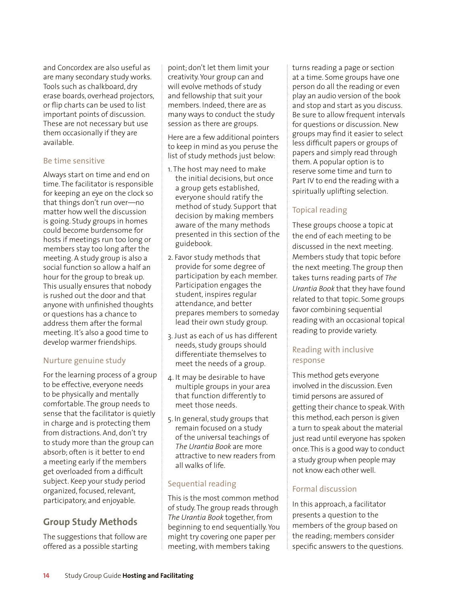and Concordex are also useful as are many secondary study works. Tools such as chalkboard, dry erase boards, overhead projectors, or flip charts can be used to list important points of discussion. These are not necessary but use them occasionally if they are available.

#### Be time sensitive

Always start on time and end on time. The facilitator is responsible for keeping an eye on the clock so that things don't run over—no matter how well the discussion is going. Study groups in homes could become burdensome for hosts if meetings run too long or members stay too long after the meeting. A study group is also a social function so allow a half an hour for the group to break up. This usually ensures that nobody is rushed out the door and that anyone with unfinished thoughts or questions has a chance to address them after the formal meeting. It's also a good time to develop warmer friendships.

## Nurture genuine study

For the learning process of a group to be effective, everyone needs to be physically and mentally comfortable. The group needs to sense that the facilitator is quietly in charge and is protecting them from distractions. And, don't try to study more than the group can absorb; often is it better to end a meeting early if the members get overloaded from a difficult subject. Keep your study period organized, focused, relevant, participatory, and enjoyable.

# **Group Study Methods**

The suggestions that follow are offered as a possible starting

point; don't let them limit your creativity. Your group can and will evolve methods of study and fellowship that suit your members. Indeed, there are as many ways to conduct the study session as there are groups.

Here are a few additional pointers to keep in mind as you peruse the list of study methods just below:

- 1. The host may need to make the initial decisions, but once a group gets established, everyone should ratify the method of study. Support that decision by making members aware of the many methods presented in this section of the guidebook.
- 2. Favor study methods that provide for some degree of participation by each member. Participation engages the student, inspires regular attendance, and better prepares members to someday lead their own study group.
- 3. Just as each of us has different needs, study groups should differentiate themselves to meet the needs of a group.
- 4. It may be desirable to have multiple groups in your area that function differently to meet those needs.
- 5. In general, study groups that remain focused on a study of the universal teachings of *The Urantia Book* are more attractive to new readers from all walks of life.

## Sequential reading

This is the most common method of study. The group reads through *The Urantia Book* together, from beginning to end sequentially. You might try covering one paper per meeting, with members taking

turns reading a page or section at a time. Some groups have one person do all the reading or even play an audio version of the book and stop and start as you discuss. Be sure to allow frequent intervals for questions or discussion. New groups may find it easier to select less difficult papers or groups of papers and simply read through them. A popular option is to reserve some time and turn to Part IV to end the reading with a spiritually uplifting selection.

## Topical reading

These groups choose a topic at the end of each meeting to be discussed in the next meeting. Members study that topic before the next meeting. The group then takes turns reading parts of *The Urantia Book* that they have found related to that topic. Some groups favor combining sequential reading with an occasional topical reading to provide variety.

## Reading with inclusive response

This method gets everyone involved in the discussion. Even timid persons are assured of getting their chance to speak. With this method, each person is given a turn to speak about the material just read until everyone has spoken once. This is a good way to conduct a study group when people may not know each other well.

## Formal discussion

In this approach, a facilitator presents a question to the members of the group based on the reading; members consider specific answers to the questions.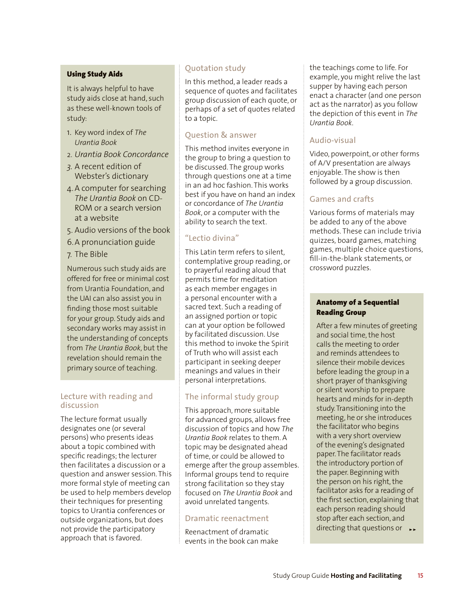#### Using Study Aids

It is always helpful to have study aids close at hand, such as these well-known tools of study:

- 1. Key word index of *The Urantia Book*
- 2. *Urantia Book Concordance*
- *3.* A recent edition of Webster's dictionary
- 4.A computer for searching *The Urantia Book* on CD-ROM or a search version at a website
- 5. Audio versions of the book
- 6.A pronunciation guide
- 7. The Bible

Numerous such study aids are offered for free or minimal cost from Urantia Foundation, and the UAI can also assist you in finding those most suitable for your group. Study aids and secondary works may assist in the understanding of concepts from *The Urantia Book*, but the revelation should remain the primary source of teaching.

### Lecture with reading and discussion

The lecture format usually designates one (or several persons) who presents ideas about a topic combined with specific readings; the lecturer then facilitates a discussion or a question and answer session. This more formal style of meeting can be used to help members develop their techniques for presenting topics to Urantia conferences or outside organizations, but does not provide the participatory approach that is favored.

## Quotation study

In this method, a leader reads a sequence of quotes and facilitates group discussion of each quote, or perhaps of a set of quotes related to a topic.

## Question & answer

This method invites everyone in the group to bring a question to be discussed. The group works through questions one at a time in an ad hoc fashion. This works best if you have on hand an index or concordance of *The Urantia Book*, or a computer with the ability to search the text.

## "Lectio divina"

This Latin term refers to silent, contemplative group reading, or to prayerful reading aloud that permits time for meditation as each member engages in a personal encounter with a sacred text. Such a reading of an assigned portion or topic can at your option be followed by facilitated discussion. Use this method to invoke the Spirit of Truth who will assist each participant in seeking deeper meanings and values in their personal interpretations.

## The informal study group

This approach, more suitable for advanced groups, allows free discussion of topics and how *The Urantia Book* relates to them. A topic may be designated ahead of time, or could be allowed to emerge after the group assembles. Informal groups tend to require strong facilitation so they stay focused on *The Urantia Book* and avoid unrelated tangents.

### Dramatic reenactment

Reenactment of dramatic events in the book can make the teachings come to life. For example, you might relive the last supper by having each person enact a character (and one person act as the narrator) as you follow the depiction of this event in *The Urantia Book*.

## Audio-visual

Video, powerpoint, or other forms of A/V presentation are always enjoyable. The show is then followed by a group discussion.

## Games and crafts

Various forms of materials may be added to any of the above methods. These can include trivia quizzes, board games, matching games, multiple choice questions, fill-in-the-blank statements, or crossword puzzles.

#### Anatomy of a Sequential Reading Group

After a few minutes of greeting and social time, the host calls the meeting to order and reminds attendees to silence their mobile devices before leading the group in a short prayer of thanksgiving or silent worship to prepare hearts and minds for in-depth study. Transitioning into the meeting, he or she introduces the facilitator who begins with a very short overview of the evening's designated paper. The facilitator reads the introductory portion of the paper. Beginning with the person on his right, the facilitator asks for a reading of the first section, explaining that each person reading should stop after each section, and directing that questions or  $\rightarrow$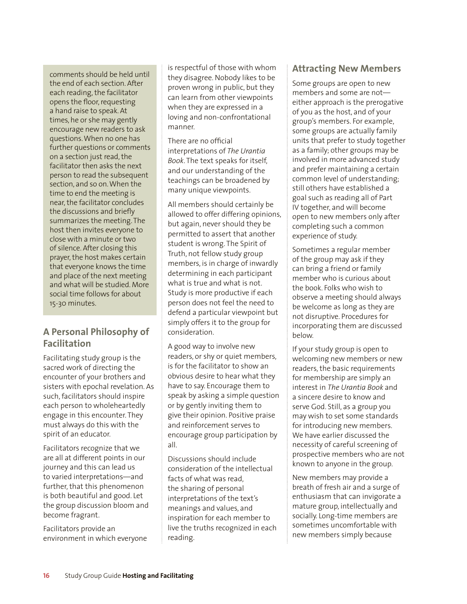comments should be held until the end of each section. After each reading, the facilitator opens the floor, requesting a hand raise to speak. At times, he or she may gently encourage new readers to ask questions. When no one has further questions or comments on a section just read, the facilitator then asks the next person to read the subsequent section, and so on. When the time to end the meeting is near, the facilitator concludes the discussions and briefly summarizes the meeting. The host then invites everyone to close with a minute or two of silence. After closing this prayer, the host makes certain that everyone knows the time and place of the next meeting and what will be studied. More social time follows for about 15-30 minutes.

# **A Personal Philosophy of Facilitation**

Facilitating study group is the sacred work of directing the encounter of your brothers and sisters with epochal revelation. As such, facilitators should inspire each person to wholeheartedly engage in this encounter. They must always do this with the spirit of an educator.

Facilitators recognize that we are all at different points in our journey and this can lead us to varied interpretations—and further, that this phenomenon is both beautiful and good. Let the group discussion bloom and become fragrant.

Facilitators provide an environment in which everyone is respectful of those with whom they disagree. Nobody likes to be proven wrong in public, but they can learn from other viewpoints when they are expressed in a loving and non-confrontational manner.

There are no official interpretations of *The Urantia Book*. The text speaks for itself, and our understanding of the teachings can be broadened by many unique viewpoints.

All members should certainly be allowed to offer differing opinions, but again, never should they be permitted to assert that another student is wrong. The Spirit of Truth, not fellow study group members, is in charge of inwardly determining in each participant what is true and what is not. Study is more productive if each person does not feel the need to defend a particular viewpoint but simply offers it to the group for consideration.

A good way to involve new readers, or shy or quiet members, is for the facilitator to show an obvious desire to hear what they have to say. Encourage them to speak by asking a simple question or by gently inviting them to give their opinion. Positive praise and reinforcement serves to encourage group participation by all.

Discussions should include consideration of the intellectual facts of what was read, the sharing of personal interpretations of the text's meanings and values, and inspiration for each member to live the truths recognized in each reading.

## **Attracting New Members**

Some groups are open to new members and some are not either approach is the prerogative of you as the host, and of your group's members. For example, some groups are actually family units that prefer to study together as a family; other groups may be involved in more advanced study and prefer maintaining a certain common level of understanding; still others have established a goal such as reading all of Part IV together, and will become open to new members only after completing such a common experience of study.

Sometimes a regular member of the group may ask if they can bring a friend or family member who is curious about the book. Folks who wish to observe a meeting should always be welcome as long as they are not disruptive. Procedures for incorporating them are discussed below.

If your study group is open to welcoming new members or new readers, the basic requirements for membership are simply an interest in *The Urantia Book* and a sincere desire to know and serve God. Still, as a group you may wish to set some standards for introducing new members. We have earlier discussed the necessity of careful screening of prospective members who are not known to anyone in the group.

New members may provide a breath of fresh air and a surge of enthusiasm that can invigorate a mature group, intellectually and socially. Long-time members are sometimes uncomfortable with new members simply because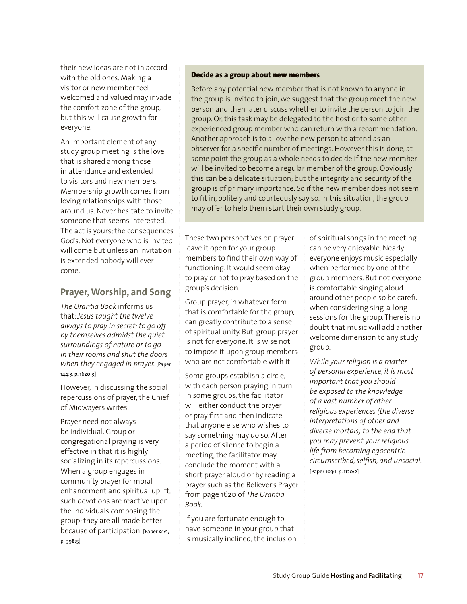their new ideas are not in accord with the old ones. Making a visitor or new member feel welcomed and valued may invade the comfort zone of the group, but this will cause growth for everyone.

An important element of any study group meeting is the love that is shared among those in attendance and extended to visitors and new members. Membership growth comes from loving relationships with those around us. Never hesitate to invite someone that seems interested. The act is yours; the consequences God's. Not everyone who is invited will come but unless an invitation is extended nobody will ever come.

## **Prayer, Worship, and Song**

*The Urantia Book* informs us that: *Jesus taught the twelve always to pray in secret; to go off by themselves admidst the quiet surroundings of nature or to go in their rooms and shut the doors when they engaged in prayer.* [Paper 144:3, p. 1620:3]

However, in discussing the social repercussions of prayer, the Chief of Midwayers writes:

Prayer need not always be individual. Group or congregational praying is very effective in that it is highly socializing in its repercussions. When a group engages in community prayer for moral enhancement and spiritual uplift, such devotions are reactive upon the individuals composing the group; they are all made better because of participation. [Paper 91:5, p. 998:5]

#### Decide as a group about new members

Before any potential new member that is not known to anyone in the group is invited to join, we suggest that the group meet the new person and then later discuss whether to invite the person to join the group. Or, this task may be delegated to the host or to some other experienced group member who can return with a recommendation. Another approach is to allow the new person to attend as an observer for a specific number of meetings. However this is done, at some point the group as a whole needs to decide if the new member will be invited to become a regular member of the group. Obviously this can be a delicate situation; but the integrity and security of the group is of primary importance. So if the new member does not seem to fit in, politely and courteously say so. In this situation, the group may offer to help them start their own study group.

These two perspectives on prayer leave it open for your group members to find their own way of functioning. It would seem okay to pray or not to pray based on the group's decision.

Group prayer, in whatever form that is comfortable for the group, can greatly contribute to a sense of spiritual unity. But, group prayer is not for everyone. It is wise not to impose it upon group members who are not comfortable with it.

Some groups establish a circle, with each person praying in turn. In some groups, the facilitator will either conduct the prayer or pray first and then indicate that anyone else who wishes to say something may do so. After a period of silence to begin a meeting, the facilitator may conclude the moment with a short prayer aloud or by reading a prayer such as the Believer's Prayer from page 1620 of *The Urantia Book*.

If you are fortunate enough to have someone in your group that is musically inclined, the inclusion of spiritual songs in the meeting can be very enjoyable. Nearly everyone enjoys music especially when performed by one of the group members. But not everyone is comfortable singing aloud around other people so be careful when considering sing-a-long sessions for the group. There is no doubt that music will add another welcome dimension to any study group.

*While your religion is a matter of personal experience, it is most important that you should be exposed to the knowledge of a vast number of other religious experiences (the diverse interpretations of other and diverse mortals) to the end that you may prevent your religious life from becoming egocentric circumscribed, selfish, and unsocial.*  [Paper 103:1, p. 1130:2]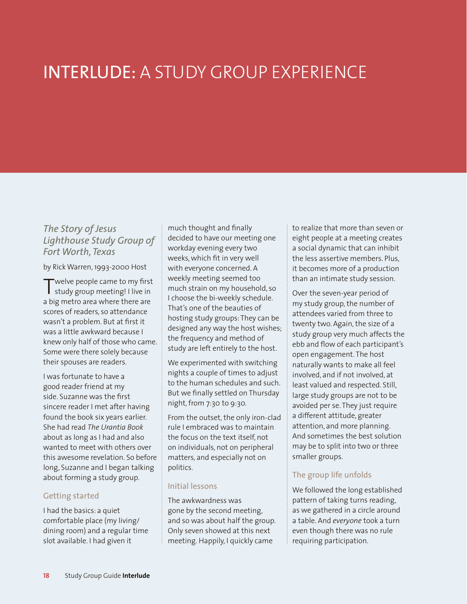# INTERLUDE: A STUDY GROUP EXPERIENCE

## *The Story of Jesus Lighthouse Study Group of Fort Worth, Texas*

by Rick Warren, 1993-2000 Host

Twelve people came to my first study group meeting! I live in a big metro area where there are scores of readers, so attendance wasn't a problem. But at first it was a little awkward because I knew only half of those who came. Some were there solely because their spouses are readers.

I was fortunate to have a good reader friend at my side. Suzanne was the first sincere reader I met after having found the book six years earlier. She had read *The Urantia Book* about as long as I had and also wanted to meet with others over this awesome revelation. So before long, Suzanne and I began talking about forming a study group.

### Getting started

I had the basics: a quiet comfortable place (my living/ dining room) and a regular time slot available. I had given it

much thought and finally decided to have our meeting one workday evening every two weeks, which fit in very well with everyone concerned. A weekly meeting seemed too much strain on my household, so I choose the bi-weekly schedule. That's one of the beauties of hosting study groups: They can be designed any way the host wishes; the frequency and method of study are left entirely to the host.

We experimented with switching nights a couple of times to adjust to the human schedules and such. But we finally settled on Thursday night, from 7:30 to 9:30.

From the outset, the only iron-clad rule I embraced was to maintain the focus on the text itself, not on individuals, not on peripheral matters, and especially not on politics.

#### Initial lessons

The awkwardness was gone by the second meeting, and so was about half the group. Only seven showed at this next meeting. Happily, I quickly came

to realize that more than seven or eight people at a meeting creates a social dynamic that can inhibit the less assertive members. Plus, it becomes more of a production than an intimate study session.

Over the seven-year period of my study group, the number of attendees varied from three to twenty two. Again, the size of a study group very much affects the ebb and flow of each participant's open engagement. The host naturally wants to make all feel involved, and if not involved, at least valued and respected. Still, large study groups are not to be avoided per se. They just require a different attitude, greater attention, and more planning. And sometimes the best solution may be to split into two or three smaller groups.

## The group life unfolds

We followed the long established pattern of taking turns reading, as we gathered in a circle around a table. And *everyone* took a turn even though there was no rule requiring participation.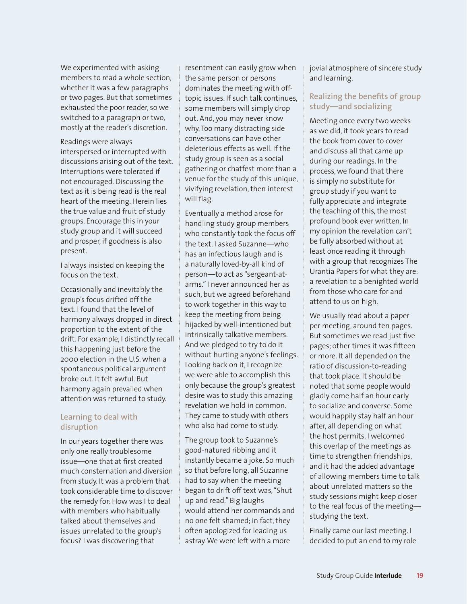We experimented with asking members to read a whole section, whether it was a few paragraphs or two pages. But that sometimes exhausted the poor reader, so we switched to a paragraph or two, mostly at the reader's discretion.

Readings were always interspersed or interrupted with discussions arising out of the text. Interruptions were tolerated if not encouraged. Discussing the text as it is being read is the real heart of the meeting. Herein lies the true value and fruit of study groups. Encourage this in your study group and it will succeed and prosper, if goodness is also present.

I always insisted on keeping the focus on the text.

Occasionally and inevitably the group's focus drifted off the text. I found that the level of harmony always dropped in direct proportion to the extent of the drift. For example, I distinctly recall this happening just before the 2000 election in the U.S. when a spontaneous political argument broke out. It felt awful. But harmony again prevailed when attention was returned to study.

### Learning to deal with disruption

In our years together there was only one really troublesome issue—one that at first created much consternation and diversion from study. It was a problem that took considerable time to discover the remedy for: How was I to deal with members who habitually talked about themselves and issues unrelated to the group's focus? I was discovering that

resentment can easily grow when the same person or persons dominates the meeting with offtopic issues. If such talk continues, some members will simply drop out. And, you may never know why. Too many distracting side conversations can have other deleterious effects as well. If the study group is seen as a social gathering or chatfest more than a venue for the study of this unique, vivifying revelation, then interest will flag.

Eventually a method arose for handling study group members who constantly took the focus off the text. I asked Suzanne—who has an infectious laugh and is a naturally loved-by-all kind of person—to act as "sergeant-atarms." I never announced her as such, but we agreed beforehand to work together in this way to keep the meeting from being hijacked by well-intentioned but intrinsically talkative members. And we pledged to try to do it without hurting anyone's feelings. Looking back on it, I recognize we were able to accomplish this only because the group's greatest desire was to study this amazing revelation we hold in common. They came to study with others who also had come to study.

The group took to Suzanne's good-natured ribbing and it instantly became a joke. So much so that before long, all Suzanne had to say when the meeting began to drift off text was,"Shut up and read." Big laughs would attend her commands and no one felt shamed; in fact, they often apologized for leading us astray. We were left with a more

jovial atmosphere of sincere study and learning.

## Realizing the benefits of group study—and socializing

Meeting once every two weeks as we did, it took years to read the book from cover to cover and discuss all that came up during our readings. In the process, we found that there is simply no substitute for group study if you want to fully appreciate and integrate the teaching of this, the most profound book ever written. In my opinion the revelation can't be fully absorbed without at least once reading it through with a group that recognizes The Urantia Papers for what they are: a revelation to a benighted world from those who care for and attend to us on high.

We usually read about a paper per meeting, around ten pages. But sometimes we read just five pages; other times it was fifteen or more. It all depended on the ratio of discussion-to-reading that took place. It should be noted that some people would gladly come half an hour early to socialize and converse. Some would happily stay half an hour after, all depending on what the host permits. I welcomed this overlap of the meetings as time to strengthen friendships, and it had the added advantage of allowing members time to talk about unrelated matters so the study sessions might keep closer to the real focus of the meeting studying the text.

Finally came our last meeting. I decided to put an end to my role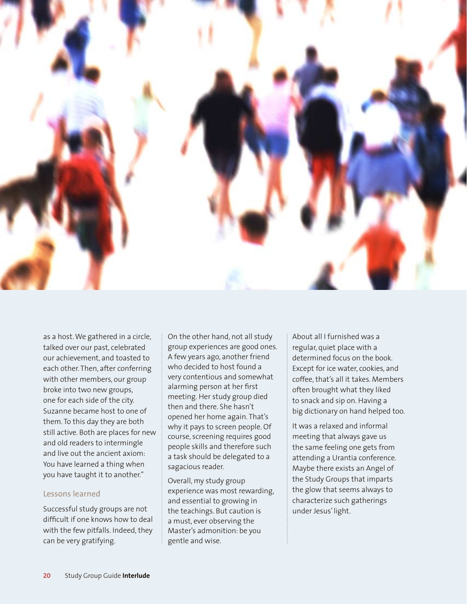

as a host. We gathered in a circle, talked over our past, celebrated our achievement, and toasted to each other. Then, after conferring with other members, our group broke into two new groups, one for each side of the city. Suzanne became host to one of them. To this day they are both still active. Both are places for new and old readers to intermingle and live out the ancient axiom: You have learned a thing when you have taught it to another."

#### Lessons learned

Successful study groups are not difficult if one knows how to deal with the few pitfalls. Indeed, they can be very gratifying.

On the other hand, not all study group experiences are good ones. A few years ago, another friend who decided to host found a very contentious and somewhat alarming person at her first meeting. Her study group died then and there. She hasn't opened her home again. That's why it pays to screen people. Of course, screening requires good people skills and therefore such a task should be delegated to a sagacious reader.

Overall, my study group experience was most rewarding, and essential to growing in the teachings. But caution is a must, ever observing the Master's admonition: be you gentle and wise.

About all I furnished was a regular, quiet place with a determined focus on the book. Except for ice water, cookies, and coffee, that's all it takes. Members often brought what they liked to snack and sip on. Having a big dictionary on hand helped too.

It was a relaxed and informal meeting that always gave us the same feeling one gets from attending a Urantia conference. Maybe there exists an Angel of the Study Groups that imparts the glow that seems always to characterize such gatherings under Jesus' light.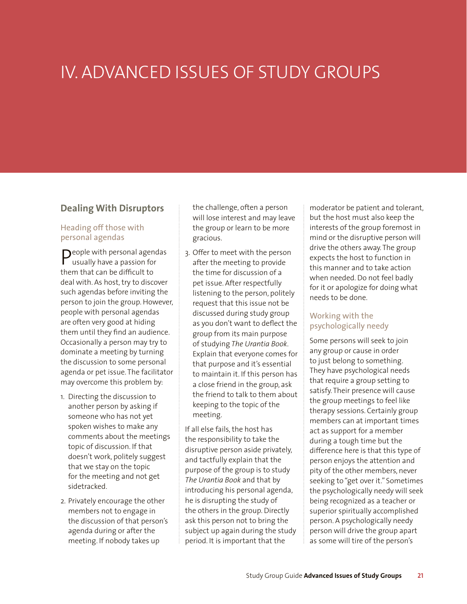# IV. ADVANCED ISSUES OF STUDY GROUPS

## **Dealing With Disruptors**

#### Heading off those with personal agendas

**P**eople with personal agendas<br>usually have a passion for them that can be difficult to deal with. As host, try to discover such agendas before inviting the person to join the group. However, people with personal agendas are often very good at hiding them until they find an audience. Occasionally a person may try to dominate a meeting by turning the discussion to some personal agenda or pet issue. The facilitator may overcome this problem by:

- 1. Directing the discussion to another person by asking if someone who has not yet spoken wishes to make any comments about the meetings topic of discussion. If that doesn't work, politely suggest that we stay on the topic for the meeting and not get sidetracked.
- 2. Privately encourage the other members not to engage in the discussion of that person's agenda during or after the meeting. If nobody takes up

the challenge, often a person will lose interest and may leave the group or learn to be more gracious.

3. Offer to meet with the person after the meeting to provide the time for discussion of a pet issue. After respectfully listening to the person, politely request that this issue not be discussed during study group as you don't want to deflect the group from its main purpose of studying *The Urantia Book*. Explain that everyone comes for that purpose and it's essential to maintain it. If this person has a close friend in the group, ask the friend to talk to them about keeping to the topic of the meeting.

If all else fails, the host has the responsibility to take the disruptive person aside privately, and tactfully explain that the purpose of the group is to study *The Urantia Book* and that by introducing his personal agenda, he is disrupting the study of the others in the group. Directly ask this person not to bring the subject up again during the study period. It is important that the

moderator be patient and tolerant, but the host must also keep the interests of the group foremost in mind or the disruptive person will drive the others away. The group expects the host to function in this manner and to take action when needed. Do not feel badly for it or apologize for doing what needs to be done.

### Working with the psychologically needy

Some persons will seek to join any group or cause in order to just belong to something. They have psychological needs that require a group setting to satisfy. Their presence will cause the group meetings to feel like therapy sessions. Certainly group members can at important times act as support for a member during a tough time but the difference here is that this type of person enjoys the attention and pity of the other members, never seeking to "get over it." Sometimes the psychologically needy will seek being recognized as a teacher or superior spiritually accomplished person. A psychologically needy person will drive the group apart as some will tire of the person's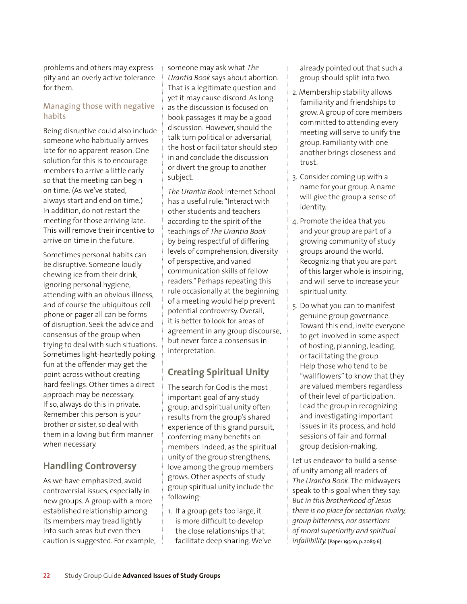problems and others may express pity and an overly active tolerance for them.

#### Managing those with negative habits

Being disruptive could also include someone who habitually arrives late for no apparent reason. One solution for this is to encourage members to arrive a little early so that the meeting can begin on time. (As we've stated, always start and end on time.) In addition, do not restart the meeting for those arriving late. This will remove their incentive to arrive on time in the future.

Sometimes personal habits can be disruptive. Someone loudly chewing ice from their drink, ignoring personal hygiene, attending with an obvious illness, and of course the ubiquitous cell phone or pager all can be forms of disruption. Seek the advice and consensus of the group when trying to deal with such situations. Sometimes light-heartedly poking fun at the offender may get the point across without creating hard feelings. Other times a direct approach may be necessary. If so, always do this in private. Remember this person is your brother or sister, so deal with them in a loving but firm manner when necessary.

# **Handling Controversy**

As we have emphasized, avoid controversial issues, especially in new groups. A group with a more established relationship among its members may tread lightly into such areas but even then caution is suggested. For example, someone may ask what *The Urantia Book* says about abortion. That is a legitimate question and yet it may cause discord. As long as the discussion is focused on book passages it may be a good discussion. However, should the talk turn political or adversarial, the host or facilitator should step in and conclude the discussion or divert the group to another subject.

*The Urantia Book* Internet School has a useful rule: "Interact with other students and teachers according to the spirit of the teachings of *The Urantia Book* by being respectful of differing levels of comprehension, diversity of perspective, and varied communication skills of fellow readers." Perhaps repeating this rule occasionally at the beginning of a meeting would help prevent potential controversy. Overall, it is better to look for areas of agreement in any group discourse, but never force a consensus in interpretation.

# **Creating Spiritual Unity**

The search for God is the most important goal of any study group; and spiritual unity often results from the group's shared experience of this grand pursuit, conferring many benefits on members. Indeed, as the spiritual unity of the group strengthens, love among the group members grows. Other aspects of study group spiritual unity include the following:

1. If a group gets too large, it is more difficult to develop the close relationships that facilitate deep sharing. We've already pointed out that such a group should split into two.

- 2. Membership stability allows familiarity and friendships to grow. A group of core members committed to attending every meeting will serve to unify the group. Familiarity with one another brings closeness and trust.
- 3. Consider coming up with a name for your group. A name will give the group a sense of identity.
- 4. Promote the idea that you and your group are part of a growing community of study groups around the world. Recognizing that you are part of this larger whole is inspiring, and will serve to increase your spiritual unity.
- 5. Do what you can to manifest genuine group governance. Toward this end, invite everyone to get involved in some aspect of hosting, planning, leading, or facilitating the group. Help those who tend to be "wallflowers" to know that they are valued members regardless of their level of participation. Lead the group in recognizing and investigating important issues in its process, and hold sessions of fair and formal group decision-making.

Let us endeavor to build a sense of unity among all readers of *The Urantia Book*. The midwayers speak to this goal when they say: *But in this brotherhood of Jesus there is no place for sectarian rivalry, group bitterness, nor assertions of moral superiority and spiritual infallibility.* [Paper 195:10, p. 2085:6]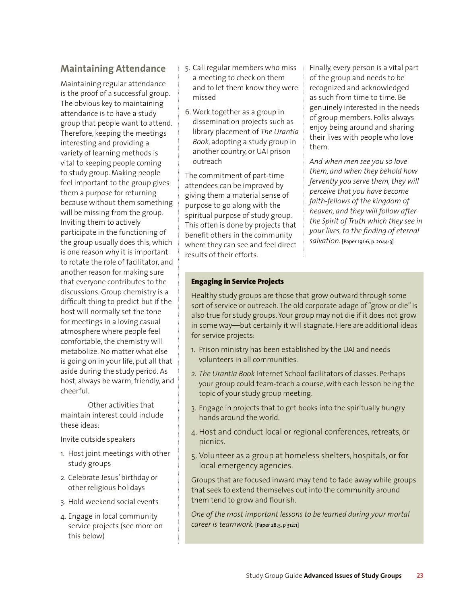## **Maintaining Attendance**

Maintaining regular attendance is the proof of a successful group. The obvious key to maintaining attendance is to have a study group that people want to attend. Therefore, keeping the meetings interesting and providing a variety of learning methods is vital to keeping people coming to study group. Making people feel important to the group gives them a purpose for returning because without them something will be missing from the group. Inviting them to actively participate in the functioning of the group usually does this, which is one reason why it is important to rotate the role of facilitator, and another reason for making sure that everyone contributes to the discussions. Group chemistry is a difficult thing to predict but if the host will normally set the tone for meetings in a loving casual atmosphere where people feel comfortable, the chemistry will metabolize. No matter what else is going on in your life, put all that aside during the study period. As host, always be warm, friendly, and cheerful.

Other activities that maintain interest could include these ideas:

Invite outside speakers

- 1. Host joint meetings with other study groups
- 2. Celebrate Jesus' birthday or other religious holidays
- 3. Hold weekend social events
- 4. Engage in local community service projects (see more on this below)
- 5. Call regular members who miss a meeting to check on them and to let them know they were missed
- 6. Work together as a group in dissemination projects such as library placement of *The Urantia Book*, adopting a study group in another country, or UAI prison outreach

The commitment of part-time attendees can be improved by giving them a material sense of purpose to go along with the spiritual purpose of study group. This often is done by projects that benefit others in the community where they can see and feel direct results of their efforts.

Finally, every person is a vital part of the group and needs to be recognized and acknowledged as such from time to time. Be genuinely interested in the needs of group members. Folks always enjoy being around and sharing their lives with people who love them.

*And when men see you so love them, and when they behold how fervently you serve them, they will perceive that you have become faith-fellows of the kingdom of heaven, and they will follow after the Spirit of Truth which they see in your lives, to the finding of eternal salvation.* [Paper 191:6, p. 2044:3]

### Engaging in Service Projects

Healthy study groups are those that grow outward through some sort of service or outreach. The old corporate adage of "grow or die" is also true for study groups. Your group may not die if it does not grow in some way—but certainly it will stagnate. Here are additional ideas for service projects:

- 1. Prison ministry has been established by the UAI and needs volunteers in all communities.
- *2. The Urantia Book* Internet School facilitators of classes. Perhaps your group could team-teach a course, with each lesson being the topic of your study group meeting.
- 3. Engage in projects that to get books into the spiritually hungry hands around the world.
- 4. Host and conduct local or regional conferences, retreats, or picnics.
- 5. Volunteer as a group at homeless shelters, hospitals, or for local emergency agencies.

Groups that are focused inward may tend to fade away while groups that seek to extend themselves out into the community around them tend to grow and flourish.

*One of the most important lessons to be learned during your mortal career is teamwork.* [Paper 28:5, p 312:1]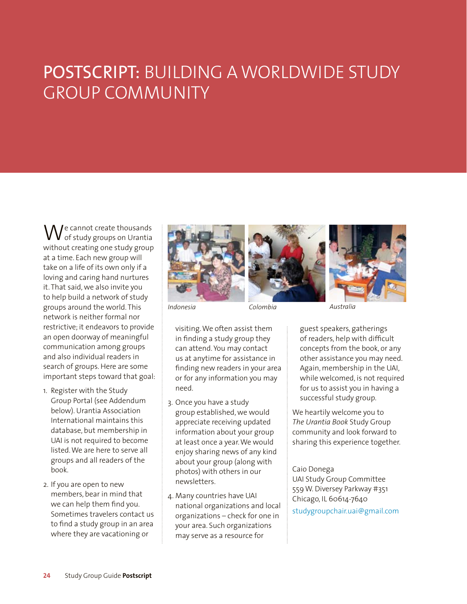# POSTSCRIPT: BUILDING A WORLDWIDE STUDY GROUP COMMUNITY

 $\bigvee_{\alpha \in \mathcal{C}}$ e cannot create thousands of study groups on Urantia without creating one study group at a time. Each new group will take on a life of its own only if a loving and caring hand nurtures it. That said, we also invite you to help build a network of study groups around the world. This network is neither formal nor restrictive; it endeavors to provide an open doorway of meaningful communication among groups and also individual readers in search of groups. Here are some important steps toward that goal:

- 1. Register with the Study Group Portal (see Addendum below). Urantia Association International maintains this database, but membership in UAI is not required to become listed. We are here to serve all groups and all readers of the book.
- 2. If you are open to new members, bear in mind that we can help them find you. Sometimes travelers contact us to find a study group in an area where they are vacationing or







visiting. We often assist them in finding a study group they can attend. You may contact us at anytime for assistance in finding new readers in your area or for any information you may need.

- 3. Once you have a study group established, we would appreciate receiving updated information about your group at least once a year. We would enjoy sharing news of any kind about your group (along with photos) with others in our newsletters.
- 4. Many countries have UAI national organizations and local organizations – check for one in your area. Such organizations may serve as a resource for

guest speakers, gatherings of readers, help with difficult concepts from the book, or any other assistance you may need. Again, membership in the UAI, while welcomed, is not required for us to assist you in having a successful study group.

We heartily welcome you to *The Urantia Book* Study Group community and look forward to sharing this experience together.

Caio Donega

UAI Study Group Committee 559 W. Diversey Parkway #351 Chicago, IL 60614-7640 [studygroupchair.uai@gmail.com](mailto:studygroupchair.uai@gmail.com)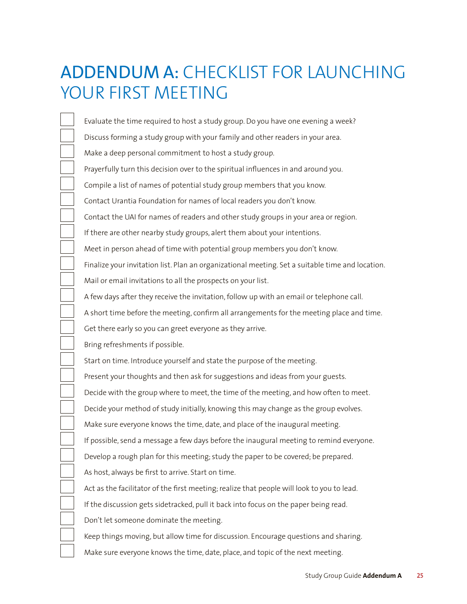# ADDENDUM A: CHECKLIST FOR LAUNCHING YOUR FIRST MEETING

Evaluate the time required to host a study group. Do you have one evening a week? Discuss forming a study group with your family and other readers in your area. Make a deep personal commitment to host a study group. Prayerfully turn this decision over to the spiritual influences in and around you. Compile a list of names of potential study group members that you know. Contact Urantia Foundation for names of local readers you don't know. Contact the UAI for names of readers and other study groups in your area or region. If there are other nearby study groups, alert them about your intentions. Meet in person ahead of time with potential group members you don't know. Finalize your invitation list. Plan an organizational meeting. Set a suitable time and location. Mail or email invitations to all the prospects on your list. A few days after they receive the invitation, follow up with an email or telephone call. A short time before the meeting, confirm all arrangements for the meeting place and time. Get there early so you can greet everyone as they arrive. Bring refreshments if possible. Start on time. Introduce yourself and state the purpose of the meeting. Present your thoughts and then ask for suggestions and ideas from your guests. Decide with the group where to meet, the time of the meeting, and how often to meet. Decide your method of study initially, knowing this may change as the group evolves. Make sure everyone knows the time, date, and place of the inaugural meeting. If possible, send a message a few days before the inaugural meeting to remind everyone. Develop a rough plan for this meeting; study the paper to be covered; be prepared. As host, always be first to arrive. Start on time. Act as the facilitator of the first meeting; realize that people will look to you to lead. If the discussion gets sidetracked, pull it back into focus on the paper being read. Don't let someone dominate the meeting. Keep things moving, but allow time for discussion. Encourage questions and sharing. Make sure everyone knows the time, date, place, and topic of the next meeting.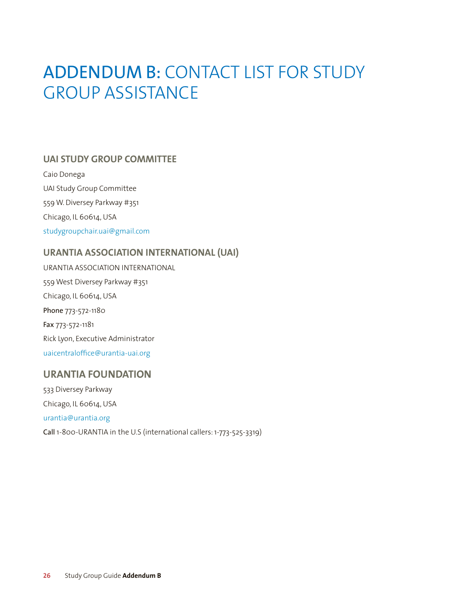# ADDENDUM B: CONTACT LIST FOR STUDY GROUP ASSISTANCE

## **UAI STUDY GROUP COMMITTEE**

Caio Donega UAI Study Group Committee 559 W. Diversey Parkway #351 Chicago, IL 60614, USA [studygroupchair.uai@gmail.com](mailto:studygroupchair.uai@gmail.com)

## **URANTIA ASSOCIATION INTERNATIONAL (UAI)**

URANTIA ASSOCIATION INTERNATIONAL 559 West Diversey Parkway #351 Chicago, IL 60614, USA Phone 773-572-1180 Fax 773-572-1181 Rick Lyon, Executive Administrator [uaicentraloffice@urantia-uai.org](mailto:uaicentraloffice@urantia-uai.org)

# **URANTIA FOUNDATION**

533 Diversey Parkway Chicago, IL 60614, USA [urantia@urantia.org](mailto:urantia@urantia.org) Call 1-800-URANTIA in the U.S (international callers: 1-773-525-3319)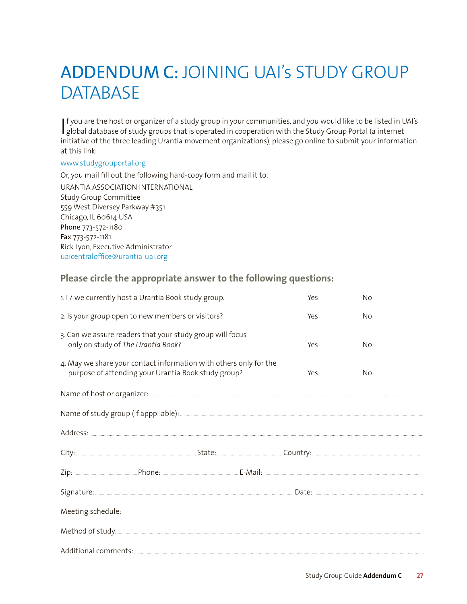# ADDENDUM C: JOINING UAI's STUDY GROUP **DATABASE**

If you are the host or organizer of a study group in your communities, and you would like to be listed in L<br>global database of study groups that is operated in cooperation with the Study Group Portal (a internet f you are the host or organizer of a study group in your communities, and you would like to be listed in UAI's initiative of the three leading Urantia movement organizations), please go online to submit your information at this link:

#### [www.studygrouportal.org](http://www.studygrouportal.org)

Or, you mail fill out the following hard-copy form and mail it to: URANTIA ASSOCIATION INTERNATIONAL Study Group Committee 559 West Diversey Parkway #351 Chicago, IL 60614 USA Phone 773-572-1180 Fax 773-572-1181 Rick Lyon, Executive Administrator [uaicentraloffice@urantia-uai.org](mailto:uaicentraloffice@urantia-uai.org)

## **Please circle the appropriate answer to the following questions:**

|                                                                                                                                 | 1.1/we currently host a Urantia Book study group. |  |  | Yes | No |  |  |
|---------------------------------------------------------------------------------------------------------------------------------|---------------------------------------------------|--|--|-----|----|--|--|
| 2. Is your group open to new members or visitors?                                                                               |                                                   |  |  | Yes | No |  |  |
| 3. Can we assure readers that your study group will focus<br>only on study of The Urantia Book?                                 |                                                   |  |  | Yes | No |  |  |
| 4. May we share your contact information with others only for the<br>purpose of attending your Urantia Book study group?<br>Yes |                                                   |  |  |     | No |  |  |
|                                                                                                                                 |                                                   |  |  |     |    |  |  |
|                                                                                                                                 |                                                   |  |  |     |    |  |  |
|                                                                                                                                 |                                                   |  |  |     |    |  |  |
|                                                                                                                                 |                                                   |  |  |     |    |  |  |
|                                                                                                                                 |                                                   |  |  |     |    |  |  |
|                                                                                                                                 |                                                   |  |  |     |    |  |  |
|                                                                                                                                 |                                                   |  |  |     |    |  |  |
|                                                                                                                                 |                                                   |  |  |     |    |  |  |
|                                                                                                                                 |                                                   |  |  |     |    |  |  |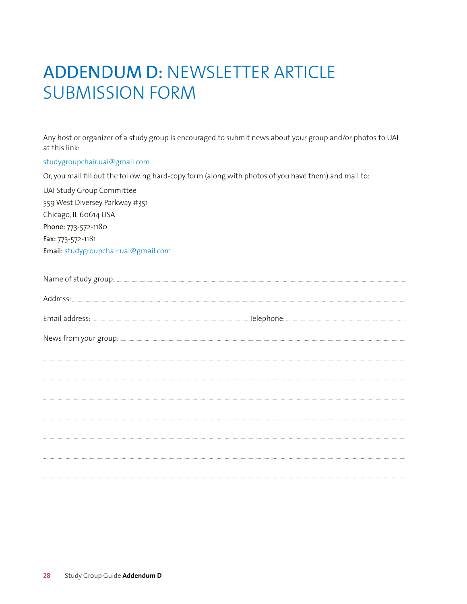# ADDENDUM D: NEWSLETTER ARTICLE SUBMISSION FORM

Any host or organizer of a study group is encouraged to submit news about your group and/or photos to UAI at this link:

[studygroupchair.uai@gmail.com](mailto:studygroupchair.uai@gmail.com)

Or, you mail fill out the following hard-copy form (along with photos of you have them) and mail to:

UAI Study Group Committee

559 West Diversey Parkway #351 Chicago, IL 60614 USA Phone: 773-572-1180 Fax: 773-572-1181 Email: [studygroupchair.uai@gmail.com](mailto:studygroupchair.uai@gmail.com)